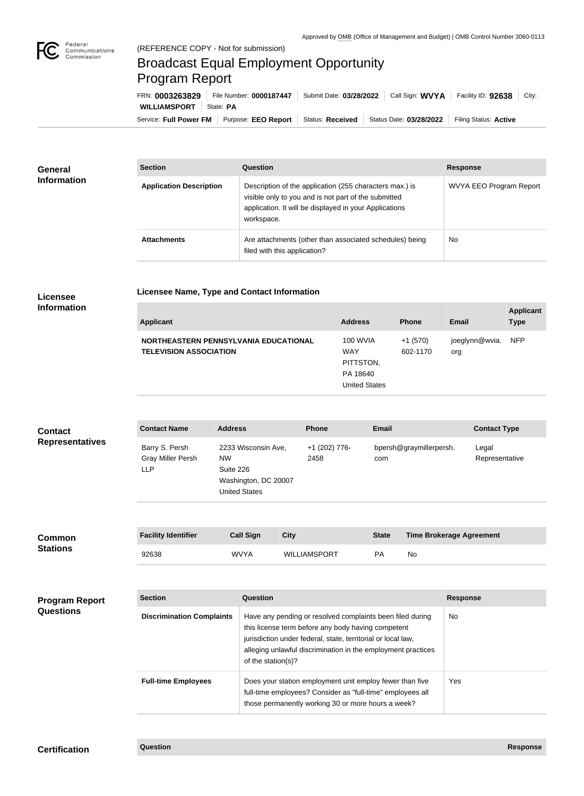

## Broadcast Equal Employment Opportunity Program Report

**Licensee Name, Type and Contact Information**

Service: Full Power FM Purpose: EEO Report | Status: Received | Status Date: 03/28/2022 | Filing Status: Active **WILLIAMSPORT** | State: PA FRN: **0003263829** File Number: **0000187447** Submit Date: **03/28/2022** Call Sign: **WVYA** Facility ID: **92638** City:

| <b>General</b><br><b>Information</b> | <b>Section</b>                 | Question                                                                                                                                                                                | <b>Response</b>         |
|--------------------------------------|--------------------------------|-----------------------------------------------------------------------------------------------------------------------------------------------------------------------------------------|-------------------------|
|                                      | <b>Application Description</b> | Description of the application (255 characters max.) is<br>visible only to you and is not part of the submitted<br>application. It will be displayed in your Applications<br>workspace. | WVYA EEO Program Report |
|                                      | <b>Attachments</b>             | Are attachments (other than associated schedules) being<br>filed with this application?                                                                                                 | <b>No</b>               |

## **Licensee Information**

| <b>Applicant</b>                                                       | <b>Address</b>                                                                 | <b>Phone</b>          | <b>Email</b>              | <b>Applicant</b><br><b>Type</b> |
|------------------------------------------------------------------------|--------------------------------------------------------------------------------|-----------------------|---------------------------|---------------------------------|
| NORTHEASTERN PENNSYLVANIA EDUCATIONAL<br><b>TELEVISION ASSOCIATION</b> | <b>100 WVIA</b><br><b>WAY</b><br>PITTSTON,<br>PA 18640<br><b>United States</b> | $+1(570)$<br>602-1170 | joeglynn@wvia. NFP<br>org |                                 |

| <b>Contact</b><br><b>Representatives</b> | <b>Contact Name</b>                               | <b>Address</b>                                                                                | <b>Phone</b>          | <b>Email</b>                             | <b>Contact Type</b>     |
|------------------------------------------|---------------------------------------------------|-----------------------------------------------------------------------------------------------|-----------------------|------------------------------------------|-------------------------|
|                                          | Barry S. Persh<br>Gray Miller Persh<br><b>LLP</b> | 2233 Wisconsin Ave,<br><b>NW</b><br>Suite 226<br>Washington, DC 20007<br><b>United States</b> | +1 (202) 776-<br>2458 | bpersh@graymillerpersh.<br>com           | Legal<br>Representative |
| $\bullet$ and the state of $\bullet$     | <b>Eacility Identifier</b>                        | Call Sinn<br>C <sub>itv</sub>                                                                 |                       | <b>State</b><br>Timo Brokarsao Agroomant |                         |

| <b>Common</b><br><b>Stations</b> | <b>Facility Identifier</b> | Call Sign   | <b>City</b>         | <b>State</b> | <b>Time Brokerage Agreement</b> |
|----------------------------------|----------------------------|-------------|---------------------|--------------|---------------------------------|
|                                  | 92638                      | <b>WVYA</b> | <b>WILLIAMSPORT</b> | PА           | No                              |

| <b>Program Report</b><br><b>Questions</b> | <b>Section</b>                   | Question                                                                                                                                                                                                                                                              | <b>Response</b> |
|-------------------------------------------|----------------------------------|-----------------------------------------------------------------------------------------------------------------------------------------------------------------------------------------------------------------------------------------------------------------------|-----------------|
|                                           | <b>Discrimination Complaints</b> | Have any pending or resolved complaints been filed during<br>this license term before any body having competent<br>jurisdiction under federal, state, territorial or local law,<br>alleging unlawful discrimination in the employment practices<br>of the station(s)? | No.             |
|                                           | <b>Full-time Employees</b>       | Does your station employment unit employ fewer than five<br>full-time employees? Consider as "full-time" employees all<br>those permanently working 30 or more hours a week?                                                                                          | Yes.            |